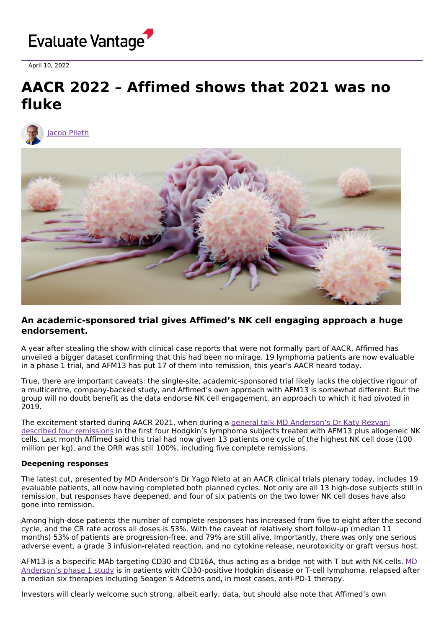

April 10, 2022

## **AACR 2022 – Affimed shows that 2021 was no fluke**





## **An academic-sponsored trial gives Affimed's NK cell engaging approach a huge endorsement.**

A year after stealing the show with clinical case reports that were not formally part of AACR, Affimed has unveiled a bigger dataset confirming that this had been no mirage. 19 lymphoma patients are now evaluable in a phase 1 trial, and AFM13 has put 17 of them into remission, this year's AACR heard today.

True, there are important caveats: the single-site, academic-sponsored trial likely lacks the objective rigour of a multicentre, company-backed study, and Affimed's own approach with AFM13 is somewhat different. But the group will no doubt benefit as the data endorse NK cell engagement, an approach to which it had pivoted in 2019.

The [excitement](https://www.evaluate.com/vantage/articles/events/conferences/aacr-2021-affimed-wins-oncternal-loses) started during AACR 2021, when during a general talk MD Anderson's Dr Katy Rezvani described four remissions in the first four Hodgkin's lymphoma subjects treated with AFM13 plus allogeneic NK cells. Last month Affimed said this trial had now given 13 patients one cycle of the highest NK cell dose (100 million per kg), and the ORR was still 100%, including five complete remissions.

## **Deepening responses**

The latest cut, presented by MD Anderson's Dr Yago Nieto at an AACR clinical trials plenary today, includes 19 evaluable patients, all now having completed both planned cycles. Not only are all 13 high-dose subjects still in remission, but responses have deepened, and four of six patients on the two lower NK cell doses have also gone into remission.

Among high-dose patients the number of complete responses has increased from five to eight after the second cycle, and the CR rate across all doses is 53%. With the caveat of relatively short follow-up (median 11 months) 53% of patients are progression-free, and 79% are still alive. Importantly, there was only one serious adverse event, a grade 3 infusion-related reaction, and no cytokine release, neurotoxicity or graft versus host.

AFM13 is a bispecific MAb targeting CD30 and CD16A, thus acting as a bridge not with T but with NK cells. MD Anderson's phase 1 study is in patients with [CD30-positive](https://clinicaltrials.gov/ct2/show/NCT04074746) Hodgkin disease or T-cell lymphoma, relapsed after a median six therapies including Seagen's Adcetris and, in most cases, anti-PD-1 therapy.

Investors will clearly welcome such strong, albeit early, data, but should also note that Affimed's own